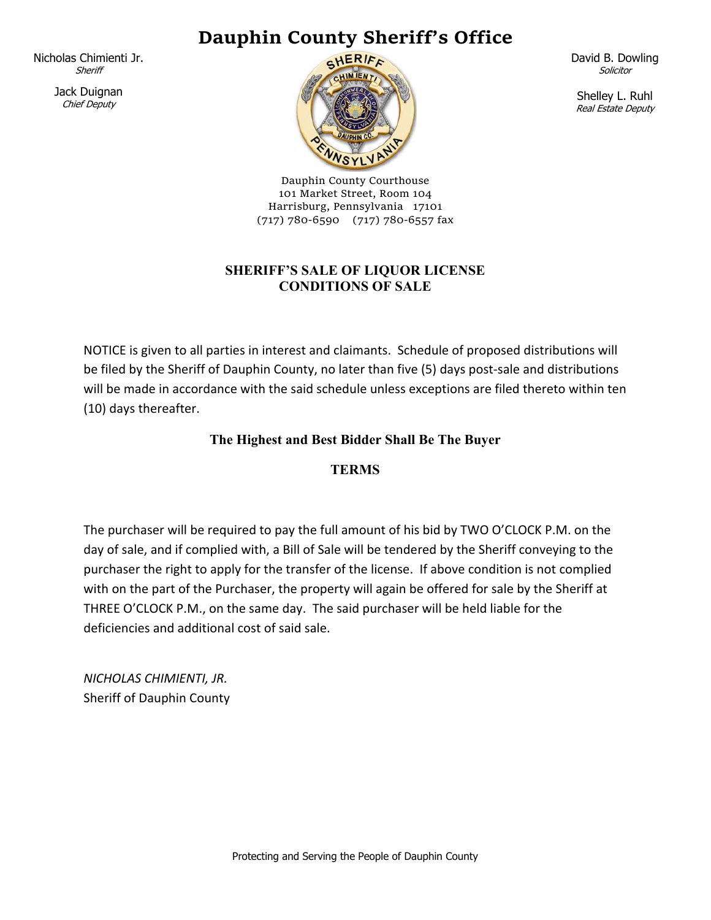# **Dauphin County Sheriff's Office**

Nicholas Chimienti Jr. **Sheriff** 

> Jack Duignan Chief Deputy



Dauphin County Courthouse 101 Market Street, Room 104 Harrisburg, Pennsylvania 17101 (717) 780‐6590 (717) 780‐6557 fax

### **SHERIFF'S SALE OF LIQUOR LICENSE CONDITIONS OF SALE**

NOTICE is given to all parties in interest and claimants. Schedule of proposed distributions will be filed by the Sheriff of Dauphin County, no later than five (5) days post-sale and distributions will be made in accordance with the said schedule unless exceptions are filed thereto within ten (10) days thereafter.

## **The Highest and Best Bidder Shall Be The Buyer**

## **TERMS**

The purchaser will be required to pay the full amount of his bid by TWO O'CLOCK P.M. on the day of sale, and if complied with, a Bill of Sale will be tendered by the Sheriff conveying to the purchaser the right to apply for the transfer of the license. If above condition is not complied with on the part of the Purchaser, the property will again be offered for sale by the Sheriff at THREE O'CLOCK P.M., on the same day. The said purchaser will be held liable for the deficiencies and additional cost of said sale.

*NICHOLAS CHIMIENTI, JR.*  Sheriff of Dauphin County David B. Dowling **Solicitor** 

Shelley L. Ruhl Real Estate Deputy